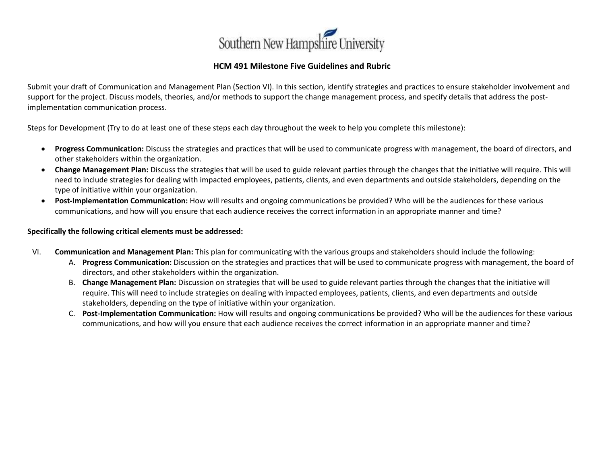

## **HCM 491 Milestone Five Guidelines and Rubric**

Submit your draft of Communication and Management Plan (Section VI). In this section, identify strategies and practices to ensure stakeholder involvement and support for the project. Discuss models, theories, and/or methods to support the change management process, and specify details that address the postimplementation communication process.

Steps for Development (Try to do at least one of these steps each day throughout the week to help you complete this milestone):

- **Progress Communication:** Discuss the strategies and practices that will be used to communicate progress with management, the board of directors, and other stakeholders within the organization.
- **Change Management Plan:** Discuss the strategies that will be used to guide relevant parties through the changes that the initiative will require. This will need to include strategies for dealing with impacted employees, patients, clients, and even departments and outside stakeholders, depending on the type of initiative within your organization.
- **Post-Implementation Communication:** How will results and ongoing communications be provided? Who will be the audiences for these various communications, and how will you ensure that each audience receives the correct information in an appropriate manner and time?

## **Specifically the following critical elements must be addressed:**

- VI. **Communication and Management Plan:** This plan for communicating with the various groups and stakeholders should include the following:
	- A. **Progress Communication:** Discussion on the strategies and practices that will be used to communicate progress with management, the board of directors, and other stakeholders within the organization.
	- B. **Change Management Plan:** Discussion on strategies that will be used to guide relevant parties through the changes that the initiative will require. This will need to include strategies on dealing with impacted employees, patients, clients, and even departments and outside stakeholders, depending on the type of initiative within your organization.
	- C. **Post-Implementation Communication:** How will results and ongoing communications be provided? Who will be the audiences for these various communications, and how will you ensure that each audience receives the correct information in an appropriate manner and time?